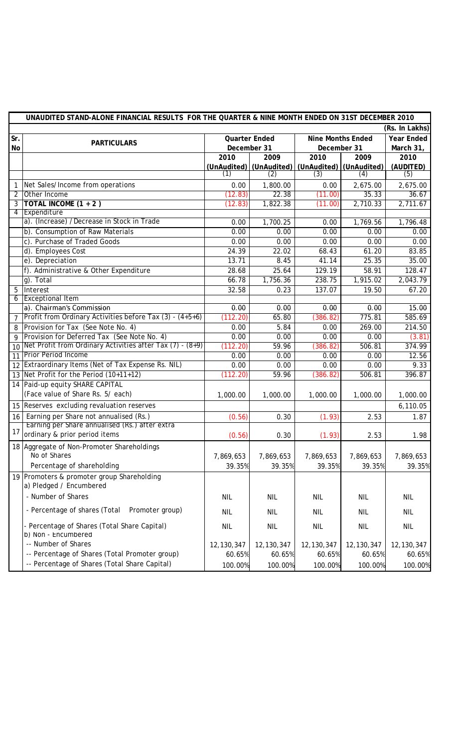|                | UNAUDITED STAND-ALONE FINANCIAL RESULTS FOR THE QUARTER & NINE MONTH ENDED ON 31ST DECEMBER 2010 |                      |                         |                          |            |                   |  |  |  |
|----------------|--------------------------------------------------------------------------------------------------|----------------------|-------------------------|--------------------------|------------|-------------------|--|--|--|
|                | (Rs. In Lakhs)                                                                                   |                      |                         |                          |            |                   |  |  |  |
| Sr.            |                                                                                                  | <b>Quarter Ended</b> |                         | <b>Nine Months Ended</b> |            | <b>Year Ended</b> |  |  |  |
| No             | <b>PARTICULARS</b>                                                                               | December 31          |                         | December 31              |            | March 31,         |  |  |  |
|                |                                                                                                  | 2010                 | 2009                    | 2010                     | 2009       | 2010              |  |  |  |
|                |                                                                                                  |                      | (UnAudited) (UnAudited) | (UnAudited) (UnAudited)  |            | (AUDITED)         |  |  |  |
|                |                                                                                                  | (1)                  | (2)                     | (3)                      | (4)        | (5)               |  |  |  |
|                | Net Sales/Income from operations                                                                 | 0.00                 | 1,800.00                | 0.00                     | 2,675.00   | 2,675.00          |  |  |  |
| $\overline{2}$ | Other Income                                                                                     | (12.83)              | 22.38                   | (11.00)                  | 35.33      | 36.67             |  |  |  |
| $\mathbf{3}$   | <b>TOTAL INCOME <math>(1 + 2)</math></b>                                                         | (12.83)              | 1,822.38                | (11.00)                  | 2,710.33   | 2,711.67          |  |  |  |
| $\overline{4}$ | Expenditure                                                                                      |                      |                         |                          |            |                   |  |  |  |
|                | a). (Increase) /Decrease in Stock in Trade                                                       | 0.00                 | 1,700.25                | 0.00                     | 1,769.56   | 1,796.48          |  |  |  |
|                | b). Consumption of Raw Materials                                                                 | 0.00                 | 0.00                    | 0.00                     | 0.00       | 0.00              |  |  |  |
|                | c). Purchase of Traded Goods                                                                     | 0.00                 | 0.00                    | 0.00                     | 0.00       | 0.00              |  |  |  |
|                | d). Employees Cost                                                                               | 24.39                | 22.02                   | 68.43                    | 61.20      | 83.85             |  |  |  |
|                | e). Depreciation                                                                                 | 13.71                | 8.45                    | 41.14                    | 25.35      | 35.00             |  |  |  |
|                | f). Administrative & Other Expenditure                                                           | 28.68                | 25.64                   | 129.19                   | 58.91      | 128.47            |  |  |  |
|                | $g$ ). Total                                                                                     | 66.78                | 1,756.36                | 238.75                   | 1,915.02   | 2,043.79          |  |  |  |
| 5              | Interest                                                                                         | 32.58                | 0.23                    | 137.07                   | 19.50      | 67.20             |  |  |  |
| $\overline{6}$ | <b>Exceptional Item</b>                                                                          |                      |                         |                          |            |                   |  |  |  |
|                | a). Chairman's Commission                                                                        | 0.00                 | 0.00                    | 0.00                     | 0.00       | 15.00             |  |  |  |
| $\overline{7}$ | Profit from Ordinary Activities before Tax (3) - (4+5+6)                                         | (112.20)             | 65.80                   | (386.82)                 | 775.81     | 585.69            |  |  |  |
| 8              | Provision for Tax (See Note No. 4)                                                               | 0.00                 | 5.84                    | 0.00                     | 269.00     | 214.50            |  |  |  |
| 9              | Provision for Deferred Tax (See Note No. 4)                                                      | 0.00                 | 0.00                    | 0.00                     | 0.00       | (3.81)            |  |  |  |
| 10             | Net Profit from Ordinary Activities after Tax $(7)$ - $(8+9)$                                    | (112.20)             | 59.96                   | (386.82)                 | 506.81     | 374.99            |  |  |  |
| 11             | <b>Prior Period Income</b>                                                                       | 0.00                 | 0.00                    | 0.00                     | 0.00       | 12.56             |  |  |  |
|                | 12 Extraordinary Items (Net of Tax Expense Rs. NIL)                                              | 0.00                 | 0.00                    | 0.00                     | 0.00       | 9.33              |  |  |  |
|                | 13 Net Profit for the Period (10+11+12)                                                          | (112.20)             | 59.96                   | (386.82)                 | 506.81     | 396.87            |  |  |  |
|                | 14 Paid-up equity SHARE CAPITAL                                                                  |                      |                         |                          |            |                   |  |  |  |
|                | (Face value of Share Rs. 5/ each)                                                                | 1,000.00             | 1,000.00                | 1,000.00                 | 1,000.00   | 1,000.00          |  |  |  |
|                | 15 Reserves excluding revaluation reserves                                                       |                      |                         |                          |            | 6,110.05          |  |  |  |
| 16             | Earning per Share not annualised (Rs.)                                                           | (0.56)               | 0.30                    | (1.93)                   | 2.53       | 1.87              |  |  |  |
|                | Earning per Share annualised (Rs.) after extra                                                   |                      |                         |                          |            |                   |  |  |  |
| 17             | ordinary & prior period items                                                                    | (0.56)               | 0.30                    | (1.93)                   | 2.53       | 1.98              |  |  |  |
|                | 18 Aggregate of Non-Promoter Shareholdings                                                       |                      |                         |                          |            |                   |  |  |  |
|                | No of Shares                                                                                     | 7,869,653            | 7,869,653               | 7,869,653                | 7,869,653  | 7,869,653         |  |  |  |
|                | Percentage of shareholding                                                                       | 39.35%               | 39.35%                  | 39.35%                   | 39.35%     | 39.35%            |  |  |  |
|                | 19 Promoters & promoter group Shareholding                                                       |                      |                         |                          |            |                   |  |  |  |
|                | a) Pledged / Encumbered                                                                          |                      |                         |                          |            |                   |  |  |  |
|                | - Number of Shares                                                                               | <b>NIL</b>           | <b>NIL</b>              | <b>NIL</b>               | <b>NIL</b> | NIL               |  |  |  |
|                |                                                                                                  |                      |                         |                          |            |                   |  |  |  |
|                | - Percentage of shares (Total<br>Promoter group)                                                 | <b>NIL</b>           | <b>NIL</b>              | <b>NIL</b>               | <b>NIL</b> | <b>NIL</b>        |  |  |  |
|                | - Percentage of Shares (Total Share Capital)                                                     | <b>NIL</b>           | <b>NIL</b>              | <b>NIL</b>               | <b>NIL</b> | <b>NIL</b>        |  |  |  |
|                | b) Non - Encumbered                                                                              |                      |                         |                          |            |                   |  |  |  |
|                | -- Number of Shares                                                                              | 12, 130, 347         | 12,130,347              | 12,130,347               | 12,130,347 | 12, 130, 347      |  |  |  |
|                | -- Percentage of Shares (Total Promoter group)                                                   | 60.65%               | 60.65%                  | 60.65%                   | 60.65%     | 60.65%            |  |  |  |
|                | -- Percentage of Shares (Total Share Capital)                                                    | 100.00%              | 100.00%                 | 100.00%                  | 100.00%    | 100.00%           |  |  |  |